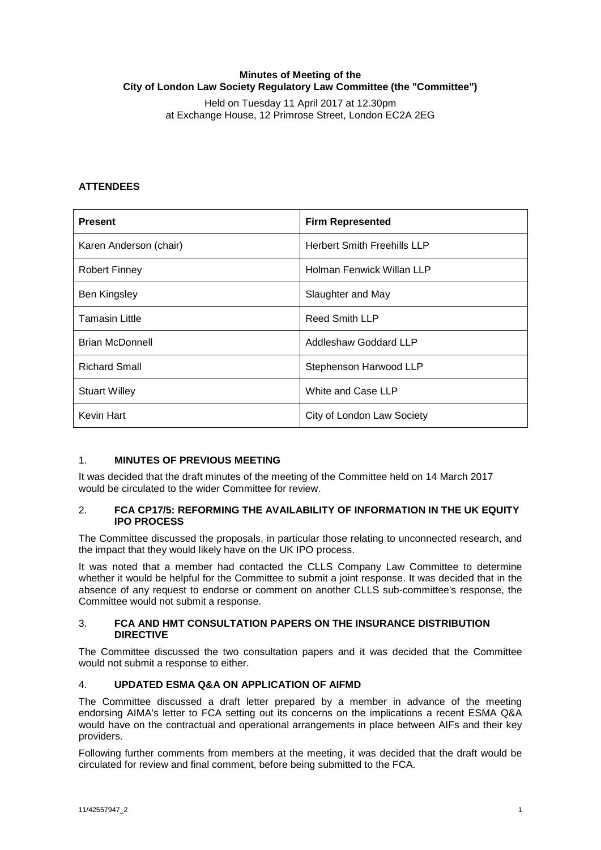## **Minutes of Meeting of the City of London Law Society Regulatory Law Committee (the "Committee")**

Held on Tuesday 11 April 2017 at 12.30pm at Exchange House, 12 Primrose Street, London EC2A 2EG

# **ATTENDEES**

| <b>Present</b>         | <b>Firm Represented</b>            |
|------------------------|------------------------------------|
| Karen Anderson (chair) | <b>Herbert Smith Freehills LLP</b> |
| <b>Robert Finney</b>   | Holman Fenwick Willan LLP          |
| Ben Kingsley           | Slaughter and May                  |
| <b>Tamasin Little</b>  | <b>Reed Smith LLP</b>              |
| <b>Brian McDonnell</b> | Addleshaw Goddard LLP              |
| <b>Richard Small</b>   | Stephenson Harwood LLP             |
| <b>Stuart Willey</b>   | White and Case LLP                 |
| Kevin Hart             | City of London Law Society         |

## 1. **MINUTES OF PREVIOUS MEETING**

It was decided that the draft minutes of the meeting of the Committee held on 14 March 2017 would be circulated to the wider Committee for review.

### 2. **FCA CP17/5: REFORMING THE AVAILABILITY OF INFORMATION IN THE UK EQUITY IPO PROCESS**

The Committee discussed the proposals, in particular those relating to unconnected research, and the impact that they would likely have on the UK IPO process.

It was noted that a member had contacted the CLLS Company Law Committee to determine whether it would be helpful for the Committee to submit a joint response. It was decided that in the absence of any request to endorse or comment on another CLLS sub-committee's response, the Committee would not submit a response.

#### 3. **FCA AND HMT CONSULTATION PAPERS ON THE INSURANCE DISTRIBUTION DIRECTIVE**

The Committee discussed the two consultation papers and it was decided that the Committee would not submit a response to either.

## 4. **UPDATED ESMA Q&A ON APPLICATION OF AIFMD**

The Committee discussed a draft letter prepared by a member in advance of the meeting endorsing AIMA's letter to FCA setting out its concerns on the implications a recent ESMA Q&A would have on the contractual and operational arrangements in place between AIFs and their key providers.

Following further comments from members at the meeting, it was decided that the draft would be circulated for review and final comment, before being submitted to the FCA.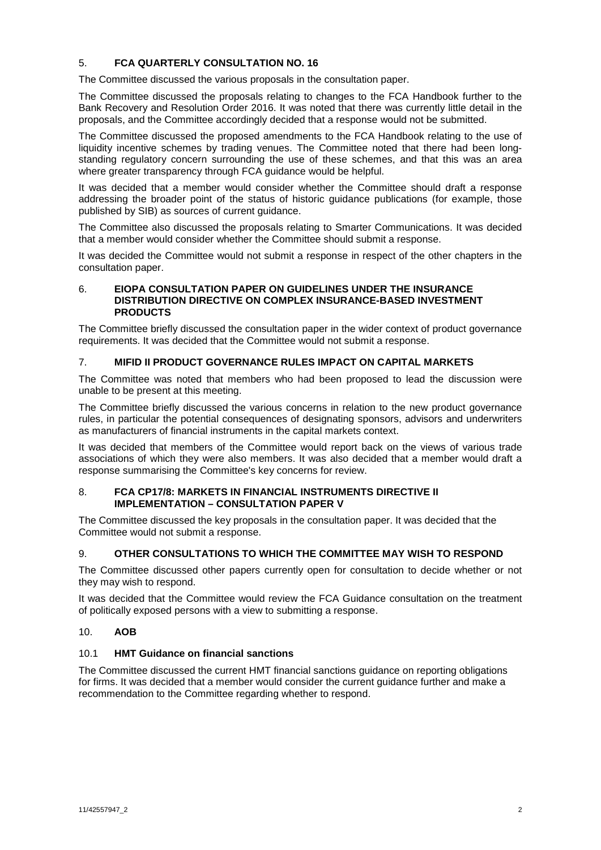## 5. **FCA QUARTERLY CONSULTATION NO. 16**

The Committee discussed the various proposals in the consultation paper.

The Committee discussed the proposals relating to changes to the FCA Handbook further to the Bank Recovery and Resolution Order 2016. It was noted that there was currently little detail in the proposals, and the Committee accordingly decided that a response would not be submitted.

The Committee discussed the proposed amendments to the FCA Handbook relating to the use of liquidity incentive schemes by trading venues. The Committee noted that there had been longstanding regulatory concern surrounding the use of these schemes, and that this was an area where greater transparency through FCA guidance would be helpful.

It was decided that a member would consider whether the Committee should draft a response addressing the broader point of the status of historic guidance publications (for example, those published by SIB) as sources of current guidance.

The Committee also discussed the proposals relating to Smarter Communications. It was decided that a member would consider whether the Committee should submit a response.

It was decided the Committee would not submit a response in respect of the other chapters in the consultation paper.

#### 6. **EIOPA CONSULTATION PAPER ON GUIDELINES UNDER THE INSURANCE DISTRIBUTION DIRECTIVE ON COMPLEX INSURANCE-BASED INVESTMENT PRODUCTS**

The Committee briefly discussed the consultation paper in the wider context of product governance requirements. It was decided that the Committee would not submit a response.

## 7. **MIFID II PRODUCT GOVERNANCE RULES IMPACT ON CAPITAL MARKETS**

The Committee was noted that members who had been proposed to lead the discussion were unable to be present at this meeting.

The Committee briefly discussed the various concerns in relation to the new product governance rules, in particular the potential consequences of designating sponsors, advisors and underwriters as manufacturers of financial instruments in the capital markets context.

It was decided that members of the Committee would report back on the views of various trade associations of which they were also members. It was also decided that a member would draft a response summarising the Committee's key concerns for review.

### 8. **FCA CP17/8: MARKETS IN FINANCIAL INSTRUMENTS DIRECTIVE II IMPLEMENTATION – CONSULTATION PAPER V**

The Committee discussed the key proposals in the consultation paper. It was decided that the Committee would not submit a response.

## 9. **OTHER CONSULTATIONS TO WHICH THE COMMITTEE MAY WISH TO RESPOND**

The Committee discussed other papers currently open for consultation to decide whether or not they may wish to respond.

It was decided that the Committee would review the FCA Guidance consultation on the treatment of politically exposed persons with a view to submitting a response.

## 10. **AOB**

# 10.1 **HMT Guidance on financial sanctions**

The Committee discussed the current HMT financial sanctions guidance on reporting obligations for firms. It was decided that a member would consider the current guidance further and make a recommendation to the Committee regarding whether to respond.